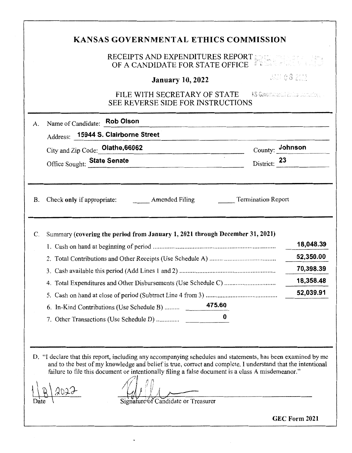# **KANSAS GOVERNMENTAL ETHICS COMMISSION**  RECEIPTS AND EXPENDITURES REPORT  $\ddot{\varepsilon}$ OF A CANDIDATE FOR STATE OFFICE UAN 08 2002 **January 10, 2022**  FILE WITH SECRETARY OF STATE FIND RECONSTANT SECTION AND RECONSTANT RECONSTANT RECONSTITUTION OF STATE  $\sim$  500 KM and 500 KM and 500 KM and 500 KM and 500 KM and 500 KM and 500 KM and 500 KM and 500 KM and 500 KM and 500 SEE REVERSE SIDE FOR INSTRUCTIONS A. Name of Candidate: **Rob Olson** Address: **15944 S. Clairborne Street**  County: **Johnson**  City and Zip Code: Olathe, 66062 Office Sought: **State Senate**  District: 23 B. Check only if appropriate: Amended Filing Termination Report C. Summary **(covering the period from January 1, 2021 through December 31, 2021) 18,048.39**  1. Cash on hand at beginning of period ......................................................................... . **52,350.00**  2. Total Contributions and Other Receipts (Use Schedule A) ....................................... . 3. Cash available this period (Add Lines 1 and 2) ......................................................... . **70,398.39 18,358.48**  4. Total Expenditures and Other Disbursements (Use Schedule C) .............................. . **52,039.91**  5. Cash on hand at close of period (Subtract Line 4 from 3) .......................................... . 6. In-Kind Contributions (Use Schedule B) ........ . **475.60**  7. Other Transactions (Use Schedule D) ............. . **0**  D. "I declare that this report, including any accompanying schedules and statements, has been examined by me and to the best of my knowledge and belief is true, correct and complete. I understand that the intentional and to the best of my knowledge and belief is true, correct and complete. I understand that the intentionally<br>filing a false document is a class A misdemeanor."<br> $\sqrt{\frac{20.22}{5.000}}$ failure to file this document or intentionally filing a false document is a class A misdemeanor."  $\sqrt{2}$   $\sqrt{2}$   $\sqrt{2}$ Signature of Candidate or Treasurer

**GEC Form 2021**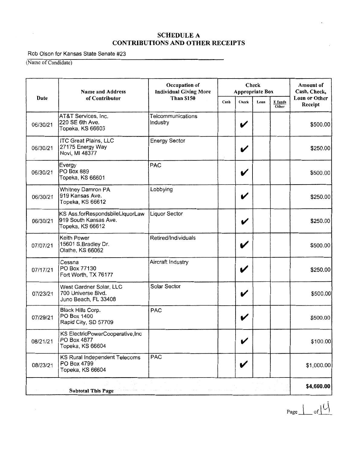Rob Olson for Kansas State Senate #23

(Name of Candidate)

 $\sim 10^7$ 

|          | <b>Name and Address</b>                                                      | Occupation of<br><b>Individual Giving More</b> | Check<br><b>Appropriate Box</b> | Amount of<br>Cash, Check, |      |                  |                          |
|----------|------------------------------------------------------------------------------|------------------------------------------------|---------------------------------|---------------------------|------|------------------|--------------------------|
| Date     | of Contributor                                                               | <b>Than \$150</b>                              | Cash                            | Check                     | Loan | E funds<br>Other | Loan or Other<br>Receipt |
| 06/30/21 | AT&T Services, Inc.<br>220 SE 6th Ave.<br>Topeka, KS 66603                   | Telcommunications<br>Industry                  |                                 | V                         |      |                  | \$500.00                 |
| 06/30/21 | <b>ITC Great Plains, LLC</b><br>27175 Energy Way<br>Novi, MI 48377           | <b>Energy Sector</b>                           |                                 | V                         |      |                  | \$250.00                 |
| 06/30/21 | Evergy<br>PO Box 889<br>Topeka, KS 66601                                     | PAC                                            |                                 | V                         |      |                  | \$500.00                 |
| 06/30/21 | Whitney Damron PA<br>919 Kansas Ave.<br>Topeka, KS 66612                     | Lobbying                                       |                                 | V                         |      |                  | \$250.00                 |
| 06/30/21 | KS Ass.forRespondsbileLiquorLaw<br>919 South Kansas Ave.<br>Topeka, KS 66612 | <b>Liquor Sector</b>                           |                                 | V                         |      |                  | \$250.00                 |
| 07/07/21 | Keith Power<br>15601 S.Bradley Dr.<br>Olathe, KS 66062                       | Retired/Individuals                            |                                 | V                         |      |                  | \$500.00                 |
| 07/17/21 | Cessna<br>PO Box 77130<br>Fort Worth, TX 76177                               | Aircraft Industry                              |                                 | V                         |      |                  | \$250.00                 |
| 07/23/21 | West Gardner Solar, LLC<br>700 Universe Blvd.<br>Juno Beach, FL 33408        | Solar Sector                                   |                                 | V                         |      |                  | \$500.00                 |
| 07/29/21 | Black Hills Corp.<br>PO Box 1400<br>Rapid City, SD 57709                     | <b>PAC</b>                                     |                                 | V                         |      |                  | \$500.00                 |
| 08/21/21 | KS ElectricPowerCooperative, Inc<br>PO Box 4877<br>Topeka, KS 66604          |                                                |                                 | V                         |      |                  | \$100.00]                |
| 08/23/21 | KS Rural Independent Telecoms<br>PO Box 4799<br>Topeka, KS 66604             | <b>PAC</b>                                     |                                 | V                         |      |                  | \$1,000.00               |
|          | <b>Subtotal This Page</b>                                                    |                                                |                                 |                           |      |                  | \$4,600.00               |

 $Page \perp of \cup$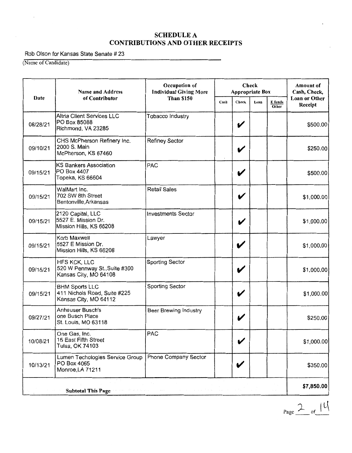#### Rob Olson for Kansas State Senate # 23

(Name of Candidate)

| Date     | <b>Name and Address</b>                                                        | Occupation of<br><b>Individual Giving More</b> | Check<br><b>Appropriate Box</b> |              |      | <b>Amount of</b><br>Cash, Check, |                          |
|----------|--------------------------------------------------------------------------------|------------------------------------------------|---------------------------------|--------------|------|----------------------------------|--------------------------|
|          | of Contributor                                                                 | <b>Than \$150</b>                              | Cash                            | <b>Check</b> | Loan | E funds<br>Other                 | Loan or Other<br>Receipt |
| 08/28/21 | Altria Client Services LLC<br>PO Box 85088<br>Richmond, VA 23285               | Tobacco Industry                               |                                 | V            |      |                                  | \$500.00                 |
| 09/10/21 | CHS McPherson Refinery Inc.<br>2000 S. Main<br>McPherson, KS 67460             | <b>Refiney Sector</b>                          |                                 | V            |      |                                  | \$250.00                 |
| 09/15/21 | <b>KS Bankers Association</b><br>PO Box 4407<br>Topeka, KS 66604               | <b>PAC</b>                                     |                                 | V            |      |                                  | \$500.00                 |
| 09/15/21 | WalMart Inc.<br>702 SW 8th Street<br>Bentonville, Arkansas                     | <b>Retail Sales</b>                            |                                 | V            |      |                                  | \$1,000.00               |
| 09/15/21 | 2120 Capital, LLC<br>5527 E. Mission Dr.<br>Mission Hills, KS 66208            | <b>Investments Sector</b>                      |                                 | V            |      |                                  | \$1,000.00               |
| 09/15/21 | Korb Maxwell<br>5527 E Mission Dr.<br>Mission Hills, KS 66208                  | Lawyer                                         |                                 | V            |      |                                  | \$1,000.00               |
| 09/15/21 | HFS KCK, LLC<br>520 W Pennway St., Suite #300<br>Kansas City, MO 64108         | Sporting Sector                                |                                 | V            |      |                                  | \$1,000.00               |
| 09/15/21 | <b>BHM Sports LLC</b><br>411 Nichols Road, Suite #225<br>Kansas City, MO 64112 | <b>Sporting Sector</b>                         |                                 | V            |      |                                  | \$1,000.00               |
| 09/27/21 | <b>Anheuser Busch's</b><br>one Busch Place<br>St. Louis, MO 63118              | Beer Brewing Industry                          |                                 | V            |      |                                  | \$250.00                 |
| 10/08/21 | One Gas, Inc.<br>15 East Fifth Street<br>Tulsa, OK 74103                       | <b>PAC</b>                                     |                                 | V            |      |                                  | \$1,000.00               |
| 10/13/21 | Lumen Techologies Service Group<br>PO Box 4065<br>Monroe, LA 71211             | Phone Company Sector                           |                                 | V            |      |                                  | \$350.00                 |
|          | <b>Subtotal This Page</b>                                                      |                                                |                                 |              |      |                                  | \$7,850.00               |

 $P_{\text{age}}$   $\frac{2}{\sqrt{1-\frac{1}{2}}}\int$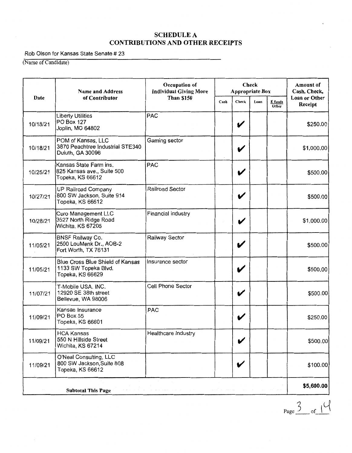#### Rob Olson for Kansas State Senate # 23

(Name of Candidate)

|          | Name and Address                                                             | Check<br>Occupation of<br><b>Individual Giving More</b><br><b>Appropriate Box</b> |      | <b>Amount of</b><br>Cash, Check, |      |                  |                                 |
|----------|------------------------------------------------------------------------------|-----------------------------------------------------------------------------------|------|----------------------------------|------|------------------|---------------------------------|
| Date     | of Contributor                                                               | <b>Than \$150</b>                                                                 | Cash | Check                            | Loan | E funds<br>Other | <b>Loan or Other</b><br>Receipt |
| 10/18/21 | <b>Liberty Utilities</b><br>PO Box 127<br>Joplin, MO 64802                   | PAC                                                                               |      | V                                |      |                  | \$250.00                        |
| 10/18/21 | POM of Kansas, LLC<br>3870 Peachtree Industrial STE340<br>Duluth, GA 30096   | Gaming sector                                                                     |      | V                                |      |                  | \$1,000.00                      |
| 10/25/21 | Kansas State Farm ins.<br>825 Kansas ave., Suite 500<br>Topeka, KS 66612     | <b>PAC</b>                                                                        |      | V                                |      |                  | \$500.00]                       |
| 10/27/21 | UP Railroad Company<br>800 SW Jackson, Suite 914<br>Topeka, KS 66612         | Railroad Sector                                                                   |      | V                                |      |                  | \$500.00]                       |
| 10/28/21 | <b>Curo Management LLC</b><br>3527 North Ridge Road<br>Wichita, KS 67205     | Financial industry                                                                |      | V                                |      |                  | \$1,000.00                      |
| 11/05/21 | <b>BNSF Railway Co.</b><br>2500 LouMenk Dr., AOB-2<br>Fort Worth, TX 76131   | Railway Sector                                                                    |      |                                  |      |                  | \$500.00                        |
| 11/05/21 | Blue Cross Blue Shield of Kansas<br>1133 SW Topeka Blvd.<br>Topeka, KS 66629 | Insurance sector                                                                  |      | V                                |      |                  | \$500.00                        |
| 11/07/21 | T-Mobile USA. INC.<br>12920 SE 38th street<br>Bellevue, WA 98006             | Cell Phone Sector                                                                 |      | $\boldsymbol{\mathcal{U}}$       |      |                  | \$500.00                        |
| 11/09/21 | Kansas Insurance<br>PO Box 55<br>Topeka, KS 66601                            | PAC                                                                               |      | V                                |      |                  | \$250.00                        |
| 11/09/21 | HCA Kansas<br>550 N Hillside Street<br>Wichita, KS 67214                     | Healthcare Industry                                                               |      | V                                |      |                  | \$500.00                        |
| 11/09/21 | O'Neal Consulting, LLC<br>800 SW Jackson, Suite 808<br>Topeka, KS 66612      |                                                                                   |      |                                  |      |                  | \$100.00                        |
|          | <b>Subtotal This Page</b>                                                    |                                                                                   |      |                                  |      |                  | \$5,600.00                      |

 $Page \frac{3}{5}$  of  $\frac{1}{4}$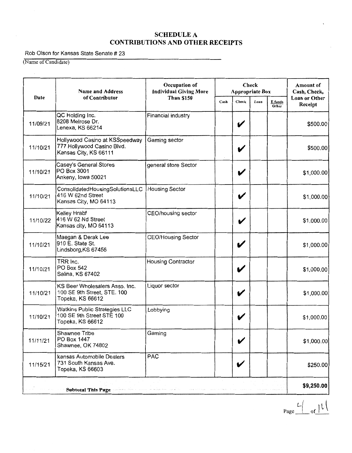#### Rob Olson for Kansas State Senate # 23

(Name of Candidate)

|          | <b>Name and Address</b>                                                               | Check<br>Occupation of<br><b>Individual Giving More</b><br><b>Appropriate Box</b> |      | <b>Amount of</b><br>Cash, Check, |      |                  |                          |
|----------|---------------------------------------------------------------------------------------|-----------------------------------------------------------------------------------|------|----------------------------------|------|------------------|--------------------------|
| Date     | of Contributor                                                                        | <b>Than \$150</b>                                                                 | Cash | Check                            | Loan | E funds<br>Other | Loan or Other<br>Receipt |
| 11/09/21 | QC Holding Inc.<br>8208 Melrose Dr.<br>Lenexa, KS 66214                               | Financial industry                                                                |      | V                                |      |                  | \$500.00                 |
| 11/10/21 | Hollywood Casino at KSSpeedway<br>777 Hollywood Casino Blvd.<br>Kansas City, KS 66111 | Gaming sector                                                                     |      | V                                |      |                  | \$500.00                 |
| 11/10/21 | Casey's General Stores<br>PO Box 3001<br>Ankeny, Iowa 50021                           | general store Sector                                                              |      |                                  |      |                  | \$1,000.00               |
| 11/10/21 | ConsolidatedHousingSolutionsLLC<br>416 W 62nd Street<br>Kansas City, MO 64113         | <b>Housing Sector</b>                                                             |      |                                  |      |                  | \$1,000.00               |
| 11/10/22 | Kelley Hrabf<br>416 W 62 Nd Street<br>Kansas city, MO 64113                           | CEO/housing sector                                                                |      | V                                |      |                  | \$1,000.00               |
| 11/10/21 | Maegan & Derak Lee<br>910 E. State St.<br>Lindsborg, KS 67456                         | <b>CEO/Housing Sector</b>                                                         |      | V                                |      |                  | \$1,000.00               |
| 11/10/21 | TRR Inc.<br>PO Box 542<br>Salina, KS 67402                                            | <b>Housing Contractor</b>                                                         |      | V                                |      |                  | \$1,000.00               |
| 11/10/21 | KS Beer Wholesalers Asso. Inc.<br>100 SE 9th Street, STE. 100<br>Topeka, KS 66612     | Liquor sector                                                                     |      | V                                |      |                  | \$1,000.00               |
| 11/10/21 | Watkins Public Strategies LLC<br>100 SE 9th Street STE 100<br>Topeka, KS 66612        | Lobbying                                                                          |      | V                                |      |                  | \$1,000.00               |
| 11/11/21 | Shawnee Tribe<br>PO Box 1447<br>Shawnee, OK 74802                                     | Gaming                                                                            |      | $\checkmark$                     |      |                  | \$1,000.00               |
| 11/15/21 | kansas Automobile Dealers<br>731 South Kansas Ave.<br>Topeka, KS 66603                | <b>PAC</b>                                                                        |      |                                  |      |                  | \$250.00                 |
|          | <b>Subtotal This Page</b>                                                             |                                                                                   |      |                                  |      |                  | \$9,250.00               |

 $Page \nightharpoonup \nightharpoonup \nightharpoonup \nightharpoonup \nightharpoonup \nightharpoonup \nightharpoonup \nightharpoonup \nightharpoonup \nightharpoonup \nightharpoonup \nightharpoonup \nightharpoonup \nightharpoonup \nightharpoonup \nightharpoonup \nightharpoonup \nightharpoonup \nightharpoonup \nightharpoonup \nightharpoonup \nightharpoonup \nightharpoonup \nightharpoonup \nightharpoonup \nightharpoonup \nightharpoonup \nightharpoonup \nightharpoonup \nightharpoonup \nightharpoonup \nightharpoonup \nightharpoonup \nightharpoonup \nightharpoonup \nightharpoonup \n$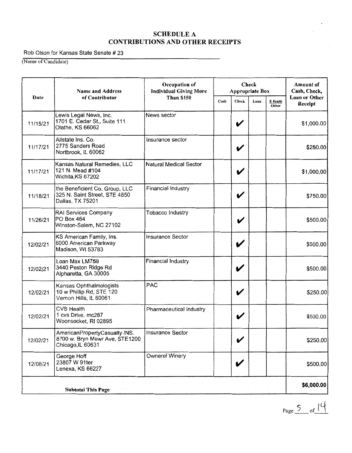Rob Olson for Kansas State Senate # 23

(Name of Candidate)

|          | <b>Name and Address</b>                                                             | Occupation of<br><b>Individual Giving More</b> |      | <b>Appropriate Box</b> | Check |                  | Amount of<br>Cash, Check, |
|----------|-------------------------------------------------------------------------------------|------------------------------------------------|------|------------------------|-------|------------------|---------------------------|
| Date     | of Contributor                                                                      | <b>Than \$150</b>                              | Cash | Check                  | Loan  | E funds<br>Other | Loan or Other<br>Receipt  |
| 11/15/21 | Lewis Legal News, Inc.<br>1701 E. Cedar St., Suite 111<br>Olathe, KS 66062          | News sector                                    |      | V                      |       |                  | \$1,000.00                |
| 11/17/21 | Allstate Ins. Co.<br>2775 Sanders Road<br>Nortbrook, IL 60062                       | Insurance sector                               |      | V                      |       |                  | \$250.00                  |
| 11/17/21 | Kansas Natural Remedies, LLC<br>121 N. Mead #104<br>Wichita, KS 67202               | Natural Medical Sector                         |      | V                      |       |                  | \$1,000.00                |
| 11/18/21 | the Beneficient Co. Group, LLC<br>325 N. Saint Street, STE 4850<br>Dallas, TX 75201 | Financial Industry                             |      | V                      |       |                  | \$750.00                  |
| 11/26/21 | RAI Services Company<br>PO Box 464<br>Winston-Salem, NC 27102                       | Tobacco Industry                               |      | V                      |       |                  | \$500.00                  |
| 12/02/21 | KS American Family, Ins.<br>6000 American Parkway<br>Madison, WI 53783              | <b>Insurance Sector</b>                        |      | V                      |       |                  | \$500.00                  |
| 12/02/21 | Loan Max LM759<br>3440 Peston Ridge Rd<br>Alpharetta, GA 30005                      | <b>Financial Industry</b>                      |      | V                      |       |                  | \$500.00                  |
| 12/02/21 | Kansas Ophthalmologists<br>10 w Phillip Rd, STE 120<br>Vernon Hills, IL 60061       | PAC                                            |      | V                      |       |                  | \$250.00                  |
| 12/02/21 | <b>CVS Health</b><br>1 cvs Drive, mc287<br>Woonsocket, RI 02895                     | Pharmaceutical industry                        |      | V                      |       |                  | \$500.00                  |
| 12/02/21 | AmericanPropertyCasualty INS<br>8700 w. Bryn Mawr Ave, STE1200<br>Chicago, IL 60631 | <b>Insurance Sector</b>                        |      | V                      |       |                  | \$250.00                  |
| 12/08/21 | George Hoff<br>23807 W 91ter<br>Lenexa, KS 66227                                    | Ownerof Winery                                 |      | V                      |       |                  | \$500.00                  |
|          | <b>Subtotal This Page</b>                                                           |                                                |      |                        |       |                  | \$6,000.00                |

Page  $\frac{5}{2}$  of  $14$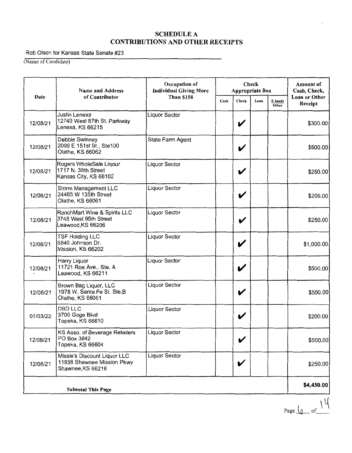Rob Olson for Kansas State Senate #23

(Name of Candidate)

|          | <b>Name and Address</b>                                                         | Occupation of<br><b>Individual Giving More</b> | Check<br><b>Appropriate Box</b> |       |      | Amount of<br>Cash, Check, |                          |
|----------|---------------------------------------------------------------------------------|------------------------------------------------|---------------------------------|-------|------|---------------------------|--------------------------|
| Date     | of Contributor                                                                  | <b>Than \$150</b>                              | Cash                            | Check | Loan | E funds<br>Other          | Loan or Other<br>Receipt |
| 12/08/21 | <b>Justin Lenexa</b><br>12740 West 87th St. Parkway<br>Lenexa, KS 66215         | <b>Liquor Sector</b>                           |                                 | V     |      |                           | \$300.00                 |
| 12/08/21 | Debbie Swinney<br>2099 E 151st St., Ste100<br>Olathe, KS 66062                  | State Farm Agent                               |                                 | V     |      |                           | \$500.00                 |
| 12/08/21 | Rogers WholeSale Liqour<br>1717 N. 38th Street<br>Kansas City, KS 66102         | Liquor Sector                                  |                                 | V     |      |                           | \$250.00                 |
| 12/08/21 | Storm Management LLC<br>24465 W 135th Street<br>Olathe, KS 66061                | Liquor Sector                                  |                                 | V     |      |                           | \$200.00                 |
| 12/08/21 | RanchMart Wine & Spirits LLC<br>3748 West 95th Street<br>Leawood, KS 66206      | Liquor Sector                                  |                                 | V     |      |                           | \$250.00                 |
| 12/08/21 | <b>TSF Holding LLC</b><br>6840 Johnson Dr.<br>Mission, KS 66202                 | <b>Liquor Sector</b>                           |                                 | V     |      |                           | \$1,000.00               |
| 12/08/21 | Harry Liquor<br>11721 Roe Ave., Ste. A<br>Leawood, KS 66211                     | Liquor Sector                                  |                                 | V     |      |                           | \$500.00                 |
| 12/08/21 | Brown Bag Liquor, LLC<br>1978 W. Santa Fe St. Ste.B<br>Olathe, KS 66061         | Liquor Sector                                  |                                 | V     |      |                           | \$500.00                 |
| 01/03/22 | <b>DBD LLC</b><br>3700 Gage Blvd<br>Topeka, KS 66610                            | Liquor Sector                                  |                                 |       |      |                           | \$200.00                 |
| 12/08/21 | KS Asso. of Beverage Retailers<br>PO Box 3842<br>Topeka, KS 66604               | <b>Liquor Sector</b>                           |                                 |       |      |                           | \$500.00                 |
| 12/08/21 | Missie's Discount Liquor LLC<br>11938 Shawnee Mission Pkwy<br>Shawnee, KS 66216 | Liquor Sector                                  |                                 | V     |      |                           | \$250.00                 |
|          | Subtotal This Page                                                              |                                                |                                 |       |      |                           | \$4,450.00               |

Page  $\sqrt{2}$  of  $\frac{14}{3}$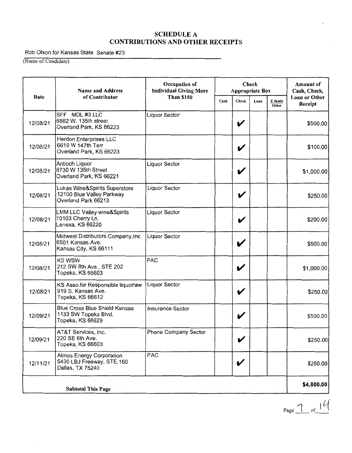Rob Olson for Kansas State Senate #23

(Name of Candidate)

 $\cdot$ 

|          | <b>Name and Address</b>                                                           | Check<br>Occupation of<br><b>Individual Giving More</b><br><b>Appropriate Box</b> |      | Amount of<br>Cash, Check, |      |                  |                          |
|----------|-----------------------------------------------------------------------------------|-----------------------------------------------------------------------------------|------|---------------------------|------|------------------|--------------------------|
| Date     | of Contributor                                                                    | <b>Than \$150</b>                                                                 | Cash | Check                     | Loan | E funds<br>Other | Loan or Other<br>Receipt |
| 12/08/21 | SFF MDL #3 LLC<br>6882 W. 135th street<br>Overland Park, KS 66223                 | Liquor Sector                                                                     |      | V                         |      |                  | \$500.00                 |
| 12/08/21 | <b>Herdon Enterprises LLC</b><br>6619 W 147th Terr<br>Overland Park, KS 66223     |                                                                                   |      | V                         |      |                  | \$100.00                 |
| 12/08/21 | Antioch Liquor<br>8730 W 135th Street<br>Overland Park, KS 66221                  | <b>Liquor Sector</b>                                                              |      | V                         |      |                  | \$1,000.00               |
| 12/08/21 | Lukas Wine&Spirits Superstore<br>12100 Blue Valley Parkway<br>Overland Park 66213 | <b>Liquor Sector</b>                                                              |      | V                         |      |                  | \$250.00                 |
| 12/08/21 | LMM LLC Valley wine&Spirits<br>10103 Cherry Ln.<br>Lenexa, KS 66220               | <b>Liquor Sector</b>                                                              |      | V                         |      |                  | \$200.00                 |
| 12/08/21 | Midwest Distributors Company, Inc<br>6501 Kansas Ave.<br>Kansas City, KS 66111    | <b>Liquor Sector</b>                                                              |      | V                         |      |                  | \$500.00                 |
| 12/08/21 | <b>KS WSW</b><br>212 SW 8th Ave., STE 202<br>Topeka, KS 66603                     | PAC                                                                               |      | V                         |      |                  | \$1,000.00               |
| 12/08/21 | KS Asso.for Responsible liquorlaw<br>919 S. Kansas Ave.<br>Topeka, KS 66612       | Liquor Sector                                                                     |      | V                         |      |                  | \$250.00                 |
| 12/09/21 | <b>Blue Cross Blue Shield Kansas</b><br>1133 SW Topeka Blvd.<br>Topeka, KS 66629  | Insurance Sector                                                                  |      | V                         |      |                  | \$500.00                 |
| 12/09/21 | AT&T Services, Inc.<br>220 SE 6th Ave.<br>Topeka, KS 66603                        | Phone Company Sector                                                              |      | V                         |      |                  | \$250.00                 |
| 12/11/21 | Atmos Energy Corporation<br>5430 LBJ Freeway, STE.160<br>Dallas, TX 75240         | PAC                                                                               |      | V                         |      |                  | \$250.00                 |
|          | <b>Subtotal This Page</b>                                                         |                                                                                   |      |                           |      |                  | \$4,800.00               |

 $Page \n\frac{\gamma}{\gamma} of 14$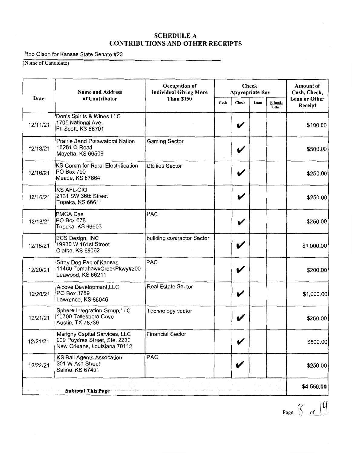Rob Olson for Kansas State Senate #23

(Name of Candidate)

|          | <b>Name and Address</b>                                                                        | Occupation of<br><b>Individual Giving More</b> |      | <b>Check</b><br><b>Appropriate Box</b> |      | <b>Amount of</b><br>Cash, Check, |                          |
|----------|------------------------------------------------------------------------------------------------|------------------------------------------------|------|----------------------------------------|------|----------------------------------|--------------------------|
| Date     | of Contributor                                                                                 | <b>Than \$150</b>                              | Cash | Check                                  | Loan | E funds<br>Other                 | Loan or Other<br>Receipt |
| 12/11/21 | Don's Spirits & Wines LLC<br>1705 National Ave.<br>Ft. Scott, KS 66701                         |                                                |      | V                                      |      |                                  | \$100.00                 |
| 12/13/21 | Prairie Band Potawatomi Nation<br>16281 Q Road<br>Mayetta, KS 66509                            | Gaming Sector                                  |      | V                                      |      |                                  | \$500.00                 |
| 12/16/21 | KS Comm for Rural Electrification<br>PO Box 790<br>Meade, KS 67864                             | <b>Utilities Sector</b>                        |      |                                        |      |                                  | \$250.00                 |
| 12/16/21 | <b>KS AFL-CIO</b><br>2131 SW 36th Street<br>Topeka, KS 66611                                   |                                                |      | V                                      |      |                                  | \$250.00                 |
| 12/18/21 | <b>PMCA Gas</b><br>PO Box 678<br>Topeka, KS 66603                                              | PAC                                            |      | V                                      |      |                                  | \$250.00                 |
| 12/18/21 | <b>BCS Design, INC</b><br>19930 W 161st Street<br>Olathe, KS 66062                             | building contractor Sector                     |      | V                                      |      |                                  | \$1,000.00               |
| 12/20/21 | Stray Dog Pac of Kansas<br>11460 TomahawkCreekPkwy#300<br>Leawood, KS 66211                    | PAC                                            |      | V                                      |      |                                  | \$200.00                 |
| 12/20/21 | Alcove Development, LLC<br>PO Box 3789<br>Lawrence, KS 66046                                   | Real Estate Sector                             |      | V                                      |      |                                  | \$1,000.00               |
| 12/21/21 | Sphere Integration Group, LLC<br>10700 Tollesboro Cove<br>Austin, TX 78739                     | Technology sector                              |      | V                                      |      |                                  | \$250.00                 |
| 12/21/21 | Marigny Capital Services, LLC<br>909 Poydras Street, Ste. 2230<br>New Orleans, Louisiana 70112 | <b>Financial Sector</b>                        |      | V                                      |      |                                  | \$500.00                 |
| 12/22/21 | <b>KS Bail Agents Assocation</b><br>301 W Ash Street<br>Salina, KS 67401                       | <b>PAC</b>                                     |      | V                                      |      |                                  | \$250.00                 |
|          | <b>Subtotal This Page</b>                                                                      |                                                |      |                                        |      |                                  | \$4,550.00               |

 $Page \nightharpoonup\ncap {\fbox{\fbox{$\lambda$}}\over\fbox{\fbox{$\lambda$}}} \nightharpoonup of \nightharpoonup\ncap {\fbox{\fbox{$\lambda$}}\over\fbox{\fbox{$\lambda$}}}$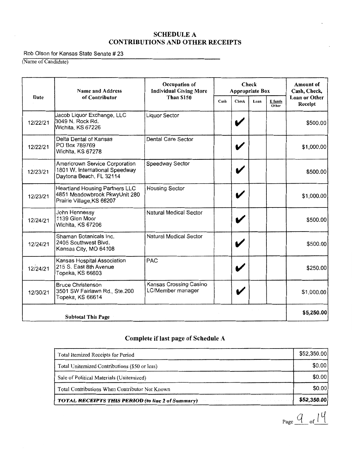#### Rob Olson for Kansas State Senate # 23

(Name of Candidate)

|          | <b>Name and Address</b>                                                                             | Check<br>Occupation of<br><b>Individual Giving More</b><br><b>Appropriate Box</b><br><b>Than \$150</b><br>Cash<br>Check<br>Loan |   | <b>Amount of</b><br>Cash, Check, |                  |                                 |
|----------|-----------------------------------------------------------------------------------------------------|---------------------------------------------------------------------------------------------------------------------------------|---|----------------------------------|------------------|---------------------------------|
| Date     | of Contributor                                                                                      |                                                                                                                                 |   |                                  | E funds<br>Other | <b>Loan or Other</b><br>Receipt |
| 12/22/21 | Jacob Liquor Exchange, LLC<br>3049 N. Rock Rd.<br>Wichita, KS 67226                                 | Liquor Sector                                                                                                                   | V |                                  |                  | \$500.00                        |
| 12/22/21 | Delta Dental of Kansas<br>PO Box 789769<br>Wichita, KS 67278                                        | Dental Care Sector                                                                                                              |   |                                  |                  | \$1,000.00                      |
| 12/23/21 | Americrown Service Corporation<br>1801 W. International Speedway<br>Daytona Beach, FL 32114         | Speedway Sector                                                                                                                 |   |                                  |                  | \$500.00                        |
| 12/23/21 | <b>Heartland Housing Partners LLC</b><br>4851 Meadowbrook PkwyUnit 280<br>Prairie Village, KS 66207 | <b>Housing Sector</b>                                                                                                           | V |                                  |                  | \$1,000.00                      |
| 12/24/21 | John Hennessy<br>1139 Glen Moor<br>Wichita, KS 67206                                                | Natural Medical Sector                                                                                                          |   |                                  |                  | \$500.00                        |
| 12/24/21 | Shaman Botanicals Inc.<br>2405 Southwest Blvd.<br>Kansas City, MO 64108                             | <b>Natural Medical Sector</b>                                                                                                   |   |                                  |                  | \$500.00                        |
| 12/24/21 | Kansas Hospital Association<br>215 S. East 8th Avenue<br>Topeka, KS 66603                           | PAC                                                                                                                             |   |                                  |                  | \$250.00                        |
| 12/30/21 | <b>Bruce Christenson</b><br>3501 SW Fairlawn Rd., Ste.200<br>Topeka, KS 66614                       | Kansas Crossing Casino<br>LC/Member manager                                                                                     |   |                                  |                  | \$1,000.00                      |
|          | <b>Subtotal This Page</b>                                                                           |                                                                                                                                 |   |                                  |                  | \$5,250.00                      |

# **Complete if last page of Schedule A**

| Total Itemized Receipts for Period                       | \$52,350.00 |
|----------------------------------------------------------|-------------|
| Total Unitemized Contributions (\$50 or less)            | \$0.00      |
| Sale of Political Materials (Unitemized)                 | \$0.00      |
| Total Contributions When Contributor Not Known           | \$0.00      |
| <b>TOTAL RECEIPTS THIS PERIOD (to line 2 of Summary)</b> | \$52,350.00 |

 $Page \underline{Q_{of}}$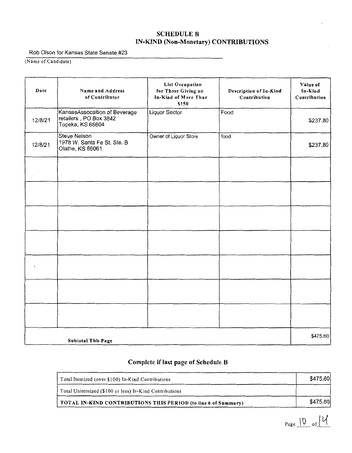## **SCHEDULE B IN-KIND** (Non-Monetary) CONTRIBUTIONS

Rob Olson for Kansas State Senate #23

(Name of Candidate)

| Date    | Name and Address<br>of Contributor                                          | <b>List Occupation</b><br>for Those Giving an<br>In-Kind of More Than<br>\$150 | Description of In-Kind<br>Contribution | Value of<br>In-Kind<br>Contribution |
|---------|-----------------------------------------------------------------------------|--------------------------------------------------------------------------------|----------------------------------------|-------------------------------------|
| 12/8/21 | KansasAssocaition of Beverage<br>retailers, PO Box 3842<br>Topeka, KS 66604 | <b>Liquor Sector</b>                                                           | Food                                   | \$237.80                            |
| 12/8/21 | <b>Steve Nelson</b><br>1978 W. Santa Fe St. Ste. B<br>Olathe, KS 66061      | Owner of Liquor Store                                                          | food                                   | \$237.80                            |
|         |                                                                             |                                                                                |                                        |                                     |
|         |                                                                             |                                                                                |                                        |                                     |
|         |                                                                             |                                                                                |                                        |                                     |
|         |                                                                             |                                                                                |                                        |                                     |
|         |                                                                             |                                                                                |                                        |                                     |
|         |                                                                             |                                                                                |                                        |                                     |
|         |                                                                             |                                                                                |                                        |                                     |
|         | <b>Subtotal This Page</b>                                                   |                                                                                |                                        | \$475.60                            |

## Complete if last page of Schedule B

| Total Itemized (over \$100) In-Kind Contributions              | \$475.60 |
|----------------------------------------------------------------|----------|
| Total Unitemized (\$100 or less) In-Kind Contributions         |          |
| TOTAL IN-KIND CONTRIBUTIONS THIS PERIOD (to line 6 of Summary) | \$475.60 |

 $_{Page}\left|0\right|_{of}\left|\mathcal{U}\right|$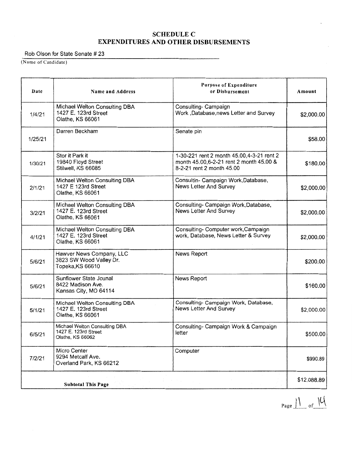## **SCHEDULE C EXPENDITURES AND OTHER DISBURSEMENTS**

#### Rob Olson for State Senate # 23

(Name of Candidate)

| Date    | Name and Address                                                          | Purpose of Expenditure<br>or Disbursement                                                                          | Amount      |
|---------|---------------------------------------------------------------------------|--------------------------------------------------------------------------------------------------------------------|-------------|
| 1/4/21  | Michael Welton Consulting DBA<br>1427 E. 123rd Street<br>Olathe, KS 66061 | Consulting- Campaign<br>Work ,Database,news Letter and Survey                                                      | \$2,000.00  |
| 1/25/21 | Darren Beckham                                                            | Senate pin                                                                                                         | \$58.00     |
| 1/30/21 | Stor it Park it<br>19840 Floyd Street<br>Stilwell, KS 66085               | 1-30-221 rent 2 month 45.00, 4-3-21 rent 2<br>month 45,00,6-2-21 rent 2 month 45,00 &<br>8-2-21 rent 2 month 45.00 | \$180.00    |
| 2/1/21  | Michael Welton Consulting DBA<br>1427 E 123rd Street<br>Olathe, KS 66061  | Consultin- Campaign Work, Database,<br>News Letter And Survey                                                      | \$2,000.00  |
| 3/2/21  | Michael Welton Consulting DBA<br>1427 E. 123rd Street<br>Olathe, KS 66061 | Consulting- Campaign Work, Database,<br>News Letter And Survey                                                     | \$2,000.00  |
| 4/1/21  | Michael Welton Consulting DBA<br>1427 E. 123rd Street<br>Olathe, KS 66061 | Consulting- Computer work, Campaign<br>work, Database, News Letter & Survey                                        | \$2,000.00  |
| 5/6/21  | Hawver News Company, LLC<br>3823 SW Wood Valley Dr.<br>Topeka, KS 66610   | News Report                                                                                                        | \$200.00    |
| 5/6/21  | Sunflower State Jounal<br>8422 Madison Ave.<br>Kansas City, MO 64114      | News Report                                                                                                        | \$160.00    |
| 5/1/21  | Michael Welton Consulting DBA<br>1427 E. 123rd Street<br>Olathe, KS 66061 | Consulting- Campaign Work, Database,<br>News Letter And Survey                                                     | \$2,000.00  |
| 6/5/21  | Michael Welton Consulting DBA<br>1427 E. 123rd Street<br>Olathe, KS 66062 | Consulting- Campaign Work & Campaign<br>letter                                                                     | \$500.00    |
| 7/2/21  | Micro Center<br>9294 Metcalf Ave.<br>Overland Park, KS 66212              | Computer                                                                                                           | \$990.89    |
|         | <b>Subtotal This Page</b>                                                 |                                                                                                                    | \$12,088.89 |

Page  $\frac{1}{\sqrt{2}}$  of  $\frac{1}{4}$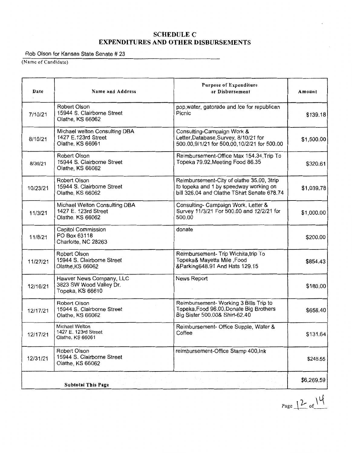#### **SCHEDULEC EXPENDITURES AND OTHER DISBURSEMENTS**

#### Rob Olson for Kansas State Senate # 23

(Name of Candidate)

| Date     | Name and Address                                                          | <b>Purpose of Expenditure</b><br>or Disbursement                                                                                   | Amount     |
|----------|---------------------------------------------------------------------------|------------------------------------------------------------------------------------------------------------------------------------|------------|
| 7/10/21  | Robert Olson<br>15944 S. Clairborne Street<br>Olathe, KS 66062            | pop, water, gatorade and Ice for republican<br>Picnic                                                                              | \$139.18   |
| 8/10/21  | Michael welton Consulting DBA<br>1427 E.123rd Street<br>Olathe, KS 66061  | Consulting-Campaign Work &<br>Letter, Database, Survey, 8/10/21 for<br>500.00,9/1/21 for 500.00,10/2/21 for 500.00                 | \$1,500.00 |
| 8/30/21  | Robert Olson<br>15944 S. Clairborne Street<br>Olathe, KS 66062            | Reimbursement-Office Max 154.34, Trip To<br>Topeka 79.92, Meeting Food 86.35                                                       | \$320.61   |
| 10/23/21 | Robert Olson<br>15944 S. Clairborne Street<br>Olathe, KS 66062            | Reimbursement-City of olathe 35.00, 3trip<br>to topeka and 1 by speedway working on<br>bill 326.04 and Olathe TShirt Senate 678.74 | \$1,039.78 |
| 11/3/21  | Michael Welton Consulting DBA<br>1427 E. 123rd Street<br>Olathe, KS 66062 | Consulting- Campaign Work, Letter &<br>Survey 11/3/21 For 500.00 and 12/2/21 for<br>500.00                                         | \$1,000.00 |
| 11/8/21  | Capitol Commission<br>PO Box 63118<br>Charlotte, NC 28263                 | donate                                                                                                                             | \$200.00   |
| 11/27/21 | Robert Olson<br>15944 S. Clairborne Street<br>Olathe, KS 66062            | Reimbursement- Trip Wichita, trip To<br>Topeka& Mayetta Mile ,Food<br>&Parking648.91 And Hats 129.15                               | \$854.43   |
| 12/16/21 | Hawver News Company, LLC<br>3823 SW Wood Valley Dr.<br>Topeka, KS 66610   | News Report                                                                                                                        | \$180.00   |
| 12/17/21 | Robert Olson<br>15944 S. Clairborne Street<br>Olathe, KS 66062            | Reimbursement- Working 3 Bills Trip to<br>Topeka, Food 96.00, Donate Big Brothers<br>Big Sister 500.00& Shirt-62.40                | \$658.40   |
| 12/17/21 | Michael Welton<br>1427 E. 123rd Street<br>Olathe, KS 66061                | Reimbursement- Office Supple, Water &<br>Coffee                                                                                    | \$131.64   |
| 12/31/21 | Robert Olson<br>15944 S. Clairborne Street<br>Olathe, KS 66062            | reimbursement-Office Stamp 400, Ink                                                                                                | \$245.55   |
|          | <b>Subtotal This Page</b>                                                 |                                                                                                                                    | \$6,269.59 |

 $Page \perp 2 of \frac{14}{5}$